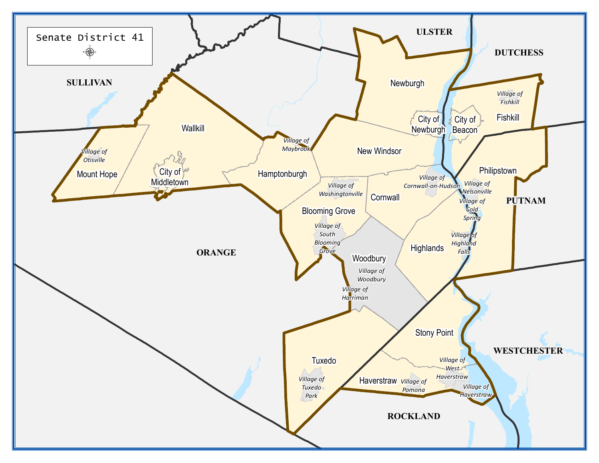